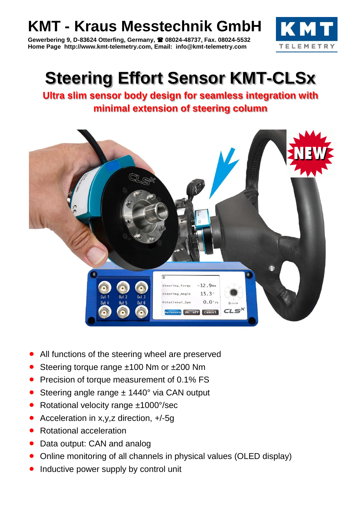## **KMT - Kraus Messtechnik GmbH**

**Gewerbering 9, D-83624 Otterfing, Germany, 08024-48737, Fax. 08024-5532 Home Page http://www.kmt-telemetry.com, Email: info@kmt-telemetry.com**



## **Steering Effort Sensor KMT-CLSx**

**Ultra slim sensor body design for seamless integration with minimal extension of steering column**



- All functions of the steering wheel are preserved
- Steering torque range ±100 Nm or ±200 Nm
- Precision of torque measurement of 0.1% FS
- Steering angle range ± 1440° via CAN output
- Rotational velocity range ±1000°/sec
- Acceleration in x,y,z direction, +/-5g
- Rotational acceleration
- Data output: CAN and analog
- Online monitoring of all channels in physical values (OLED display)
- Inductive power supply by control unit